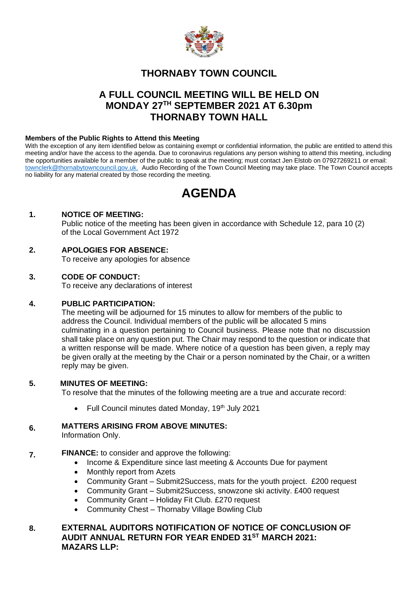

# **THORNABY TOWN COUNCIL**

# **A FULL COUNCIL MEETING WILL BE HELD ON MONDAY 27TH SEPTEMBER 2021 AT 6.30pm THORNABY TOWN HALL**

#### **Members of the Public Rights to Attend this Meeting**

With the exception of any item identified below as containing exempt or confidential information, the public are entitled to attend this meeting and/or have the access to the agenda. Due to coronavirus regulations any person wishing to attend this meeting, including the opportunities available for a member of the public to speak at the meeting; must contact Jen Elstob on 07927269211 or email: [townclerk@thornabytowncouncil.gov.uk.](about:blank) Audio Recording of the Town Council Meeting may take place. The Town Council accepts no liability for any material created by those recording the meeting.

# **AGENDA**

### **1. NOTICE OF MEETING:**

Public notice of the meeting has been given in accordance with Schedule 12, para 10 (2) of the Local Government Act 1972

### **2. APOLOGIES FOR ABSENCE:**

To receive any apologies for absence

### **3. CODE OF CONDUCT:**

To receive any declarations of interest

#### **4. PUBLIC PARTICIPATION:**

The meeting will be adjourned for 15 minutes to allow for members of the public to address the Council. Individual members of the public will be allocated 5 mins culminating in a question pertaining to Council business. Please note that no discussion shall take place on any question put. The Chair may respond to the question or indicate that a written response will be made. Where notice of a question has been given, a reply may be given orally at the meeting by the Chair or a person nominated by the Chair, or a written reply may be given.

#### **5. MINUTES OF MEETING:**

To resolve that the minutes of the following meeting are a true and accurate record:

Full Council minutes dated Monday, 19<sup>th</sup> July 2021

#### **6. MATTERS ARISING FROM ABOVE MINUTES:**

Information Only.

- **7. FINANCE:** to consider and approve the following:
	- Income & Expenditure since last meeting & Accounts Due for payment
	- Monthly report from Azets
	- Community Grant Submit2Success, mats for the youth project. £200 request
	- Community Grant Submit2Success, snowzone ski activity. £400 request
	- Community Grant Holiday Fit Club. £270 request
	- Community Chest Thornaby Village Bowling Club

#### **8. EXTERNAL AUDITORS NOTIFICATION OF NOTICE OF CONCLUSION OF AUDIT ANNUAL RETURN FOR YEAR ENDED 31ST MARCH 2021: MAZARS LLP:**